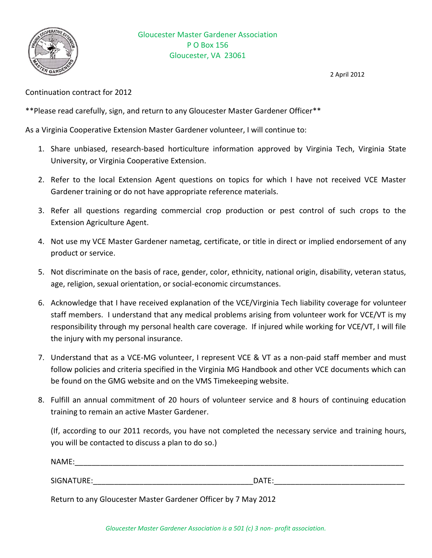

2 April 2012

Continuation contract for 2012

\*\*Please read carefully, sign, and return to any Gloucester Master Gardener Officer\*\*

As a Virginia Cooperative Extension Master Gardener volunteer, I will continue to:

- 1. Share unbiased, research-based horticulture information approved by Virginia Tech, Virginia State University, or Virginia Cooperative Extension.
- 2. Refer to the local Extension Agent questions on topics for which I have not received VCE Master Gardener training or do not have appropriate reference materials.
- 3. Refer all questions regarding commercial crop production or pest control of such crops to the Extension Agriculture Agent.
- 4. Not use my VCE Master Gardener nametag, certificate, or title in direct or implied endorsement of any product or service.
- 5. Not discriminate on the basis of race, gender, color, ethnicity, national origin, disability, veteran status, age, religion, sexual orientation, or social-economic circumstances.
- 6. Acknowledge that I have received explanation of the VCE/Virginia Tech liability coverage for volunteer staff members. I understand that any medical problems arising from volunteer work for VCE/VT is my responsibility through my personal health care coverage. If injured while working for VCE/VT, I will file the injury with my personal insurance.
- 7. Understand that as a VCE-MG volunteer, I represent VCE & VT as a non-paid staff member and must follow policies and criteria specified in the Virginia MG Handbook and other VCE documents which can be found on the GMG website and on the VMS Timekeeping website.
- 8. Fulfill an annual commitment of 20 hours of volunteer service and 8 hours of continuing education training to remain an active Master Gardener.

(If, according to our 2011 records, you have not completed the necessary service and training hours, you will be contacted to discuss a plan to do so.)

| NAME:      |       |
|------------|-------|
|            |       |
| SIGNATURE: | DATE: |

Return to any Gloucester Master Gardener Officer by 7 May 2012